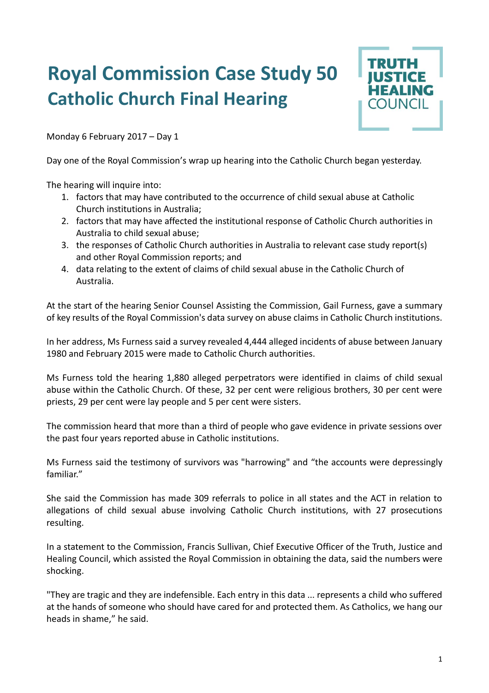## **Royal Commission Case Study 50 Catholic Church Final Hearing**



Monday 6 February 2017 – Day 1

Day one of the Royal Commission's wrap up hearing into the Catholic Church began yesterday.

The hearing will inquire into:

- 1. factors that may have contributed to the occurrence of child sexual abuse at Catholic Church institutions in Australia;
- 2. factors that may have affected the institutional response of Catholic Church authorities in Australia to child sexual abuse;
- 3. the responses of Catholic Church authorities in Australia to relevant case study report(s) and other Royal Commission reports; and
- 4. data relating to the extent of claims of child sexual abuse in the Catholic Church of Australia.

At the start of the hearing Senior Counsel Assisting the Commission, Gail Furness, gave a summary of key results of the Royal Commission's data survey on abuse claims in Catholic Church institutions.

In her address, Ms Furness said a survey revealed 4,444 alleged incidents of abuse between January 1980 and February 2015 were made to Catholic Church authorities.

Ms Furness told the hearing 1,880 alleged perpetrators were identified in claims of child sexual abuse within the Catholic Church. Of these, 32 per cent were religious brothers, 30 per cent were priests, 29 per cent were lay people and 5 per cent were sisters.

The commission heard that more than a third of people who gave evidence in private sessions over the past four years reported abuse in Catholic institutions.

Ms Furness said the testimony of survivors was "harrowing" and "the accounts were depressingly familiar"

She said the Commission has made 309 referrals to police in all states and the ACT in relation to allegations of child sexual abuse involving Catholic Church institutions, with 27 prosecutions resulting.

In a statement to the Commission, Francis Sullivan, Chief Executive Officer of the Truth, Justice and Healing Council, which assisted the Royal Commission in obtaining the data, said the numbers were shocking.

"They are tragic and they are indefensible. Each entry in this data ... represents a child who suffered at the hands of someone who should have cared for and protected them. As Catholics, we hang our heads in shame," he said.